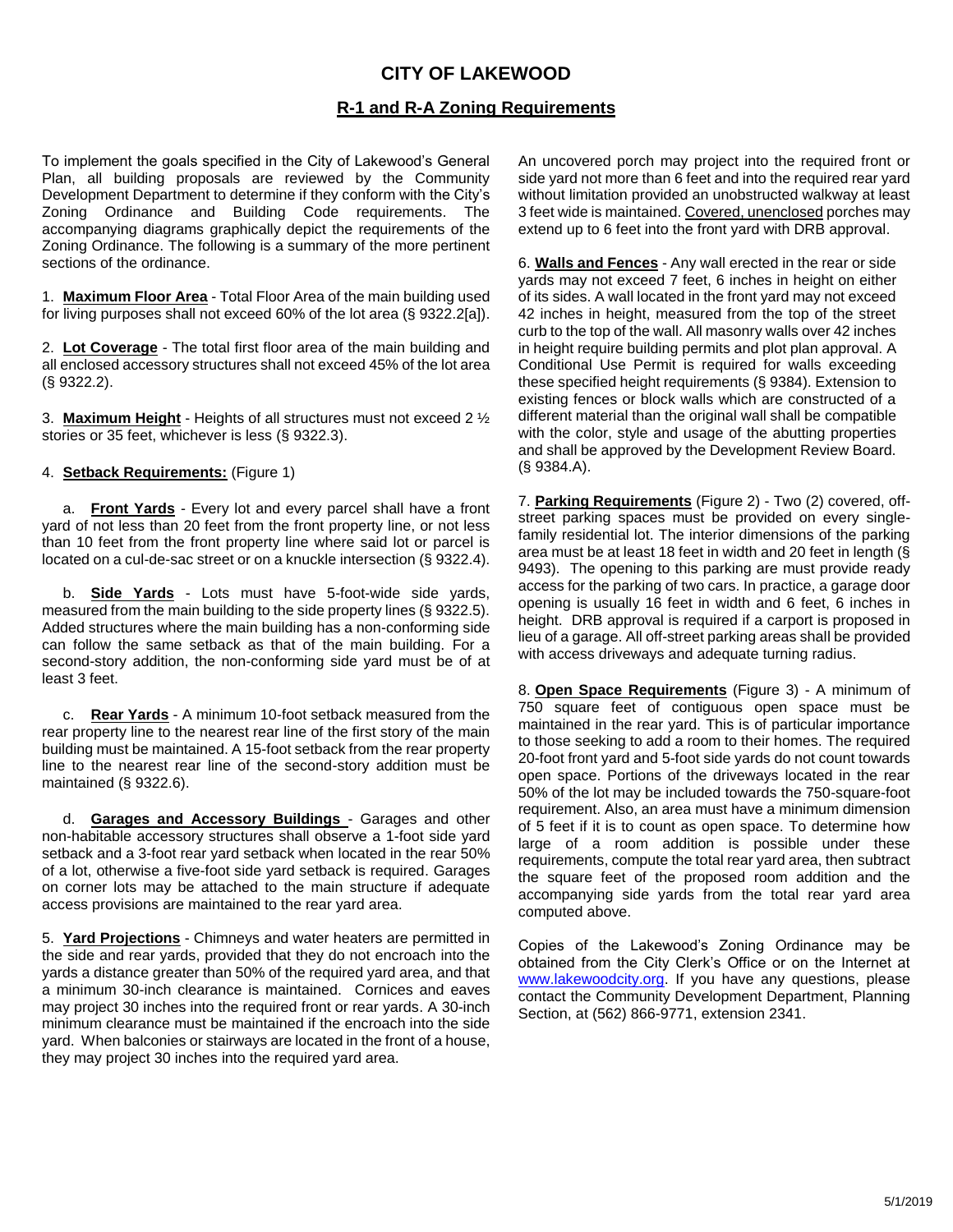## **CITY OF LAKEWOOD**

## **R-1 and R-A Zoning Requirements**

To implement the goals specified in the City of Lakewood's General Plan, all building proposals are reviewed by the Community Development Department to determine if they conform with the City's Zoning Ordinance and Building Code requirements. The accompanying diagrams graphically depict the requirements of the Zoning Ordinance. The following is a summary of the more pertinent sections of the ordinance.

1. **Maximum Floor Area** - Total Floor Area of the main building used for living purposes shall not exceed 60% of the lot area (§ 9322.2[a]).

2. **Lot Coverage** - The total first floor area of the main building and all enclosed accessory structures shall not exceed 45% of the lot area (§ 9322.2).

3. **Maximum Height** - Heights of all structures must not exceed 2 ½ stories or 35 feet, whichever is less (§ 9322.3).

## 4. **Setback Requirements:** (Figure 1)

a. **Front Yards** - Every lot and every parcel shall have a front yard of not less than 20 feet from the front property line, or not less than 10 feet from the front property line where said lot or parcel is located on a cul-de-sac street or on a knuckle intersection (§ 9322.4).

b. **Side Yards** - Lots must have 5-foot-wide side yards, measured from the main building to the side property lines (§ 9322.5). Added structures where the main building has a non-conforming side can follow the same setback as that of the main building. For a second-story addition, the non-conforming side yard must be of at least 3 feet.

c. **Rear Yards** - A minimum 10-foot setback measured from the rear property line to the nearest rear line of the first story of the main building must be maintained. A 15-foot setback from the rear property line to the nearest rear line of the second-story addition must be maintained (§ 9322.6).

d. **Garages and Accessory Buildings** - Garages and other non-habitable accessory structures shall observe a 1-foot side yard setback and a 3-foot rear yard setback when located in the rear 50% of a lot, otherwise a five-foot side yard setback is required. Garages on corner lots may be attached to the main structure if adequate access provisions are maintained to the rear yard area.

5. **Yard Projections** - Chimneys and water heaters are permitted in the side and rear yards, provided that they do not encroach into the yards a distance greater than 50% of the required yard area, and that a minimum 30-inch clearance is maintained. Cornices and eaves may project 30 inches into the required front or rear yards. A 30-inch minimum clearance must be maintained if the encroach into the side yard. When balconies or stairways are located in the front of a house, they may project 30 inches into the required yard area.

An uncovered porch may project into the required front or side yard not more than 6 feet and into the required rear yard without limitation provided an unobstructed walkway at least 3 feet wide is maintained. Covered, unenclosed porches may extend up to 6 feet into the front yard with DRB approval.

6. **Walls and Fences** - Any wall erected in the rear or side yards may not exceed 7 feet, 6 inches in height on either of its sides. A wall located in the front yard may not exceed 42 inches in height, measured from the top of the street curb to the top of the wall. All masonry walls over 42 inches in height require building permits and plot plan approval. A Conditional Use Permit is required for walls exceeding these specified height requirements (§ 9384). Extension to existing fences or block walls which are constructed of a different material than the original wall shall be compatible with the color, style and usage of the abutting properties and shall be approved by the Development Review Board. (§ 9384.A).

7. **Parking Requirements** (Figure 2) - Two (2) covered, offstreet parking spaces must be provided on every singlefamily residential lot. The interior dimensions of the parking area must be at least 18 feet in width and 20 feet in length (§ 9493). The opening to this parking are must provide ready access for the parking of two cars. In practice, a garage door opening is usually 16 feet in width and 6 feet, 6 inches in height. DRB approval is required if a carport is proposed in lieu of a garage. All off-street parking areas shall be provided with access driveways and adequate turning radius.

8. **Open Space Requirements** (Figure 3) - A minimum of 750 square feet of contiguous open space must be maintained in the rear yard. This is of particular importance to those seeking to add a room to their homes. The required 20-foot front yard and 5-foot side yards do not count towards open space. Portions of the driveways located in the rear 50% of the lot may be included towards the 750-square-foot requirement. Also, an area must have a minimum dimension of 5 feet if it is to count as open space. To determine how large of a room addition is possible under these requirements, compute the total rear yard area, then subtract the square feet of the proposed room addition and the accompanying side yards from the total rear yard area computed above.

Copies of the Lakewood's Zoning Ordinance may be obtained from the City Clerk's Office or on the Internet at [www.lakewoodcity.org.](http://www.lakewoodcity.org/) If you have any questions, please contact the Community Development Department, Planning Section, at (562) 866-9771, extension 2341.